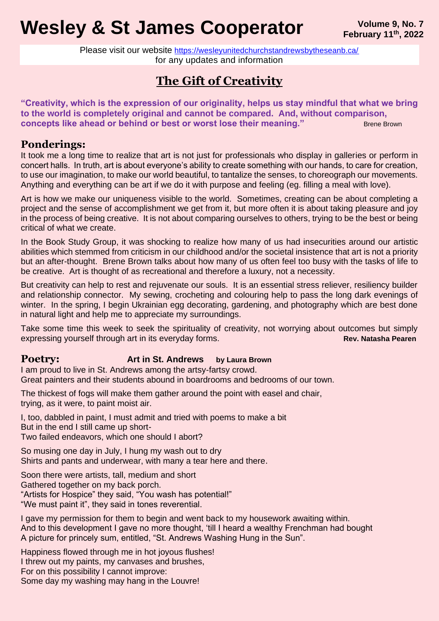# **Wesley & St James Cooperator** *Pebruary 11<sup>th</sup>, 2022*

Please visit our website <https://wesleyunitedchurchstandrewsbytheseanb.ca/> for any updates and information

## **The Gift of Creativity**

**"Creativity, which is the expression of our originality, helps us stay mindful that what we bring to the world is completely original and cannot be compared. And, without comparison, concepts like ahead or behind or best or worst lose their meaning."** Brene Brown

## **Ponderings:**

It took me a long time to realize that art is not just for professionals who display in galleries or perform in concert halls. In truth, art is about everyone's ability to create something with our hands, to care for creation, to use our imagination, to make our world beautiful, to tantalize the senses, to choreograph our movements. Anything and everything can be art if we do it with purpose and feeling (eg. filling a meal with love).

Art is how we make our uniqueness visible to the world. Sometimes, creating can be about completing a project and the sense of accomplishment we get from it, but more often it is about taking pleasure and joy in the process of being creative. It is not about comparing ourselves to others, trying to be the best or being critical of what we create.

In the Book Study Group, it was shocking to realize how many of us had insecurities around our artistic abilities which stemmed from criticism in our childhood and/or the societal insistence that art is not a priority but an after-thought. Brene Brown talks about how many of us often feel too busy with the tasks of life to be creative. Art is thought of as recreational and therefore a luxury, not a necessity.

But creativity can help to rest and rejuvenate our souls. It is an essential stress reliever, resiliency builder and relationship connector. My sewing, crocheting and colouring help to pass the long dark evenings of winter. In the spring, I begin Ukrainian egg decorating, gardening, and photography which are best done in natural light and help me to appreciate my surroundings.

Take some time this week to seek the spirituality of creativity, not worrying about outcomes but simply expressing yourself through art in its everyday forms. **Rev. Natasha Pearen** Rev. Natasha Pearen

### **Poetry: Art in St. Andrews by Laura Brown**

I am proud to live in St. Andrews among the artsy-fartsy crowd. Great painters and their students abound in boardrooms and bedrooms of our town.

The thickest of fogs will make them gather around the point with easel and chair, trying, as it were, to paint moist air.

I, too, dabbled in paint, I must admit and tried with poems to make a bit But in the end I still came up short-Two failed endeavors, which one should I abort?

So musing one day in July, I hung my wash out to dry Shirts and pants and underwear, with many a tear here and there.

Soon there were artists, tall, medium and short Gathered together on my back porch. "Artists for Hospice" they said, "You wash has potential!" "We must paint it", they said in tones reverential.

I gave my permission for them to begin and went back to my housework awaiting within. And to this development I gave no more thought, 'till I heard a wealthy Frenchman had bought A picture for princely sum, entitled, "St. Andrews Washing Hung in the Sun".

Happiness flowed through me in hot joyous flushes! I threw out my paints, my canvases and brushes, For on this possibility I cannot improve: Some day my washing may hang in the Louvre!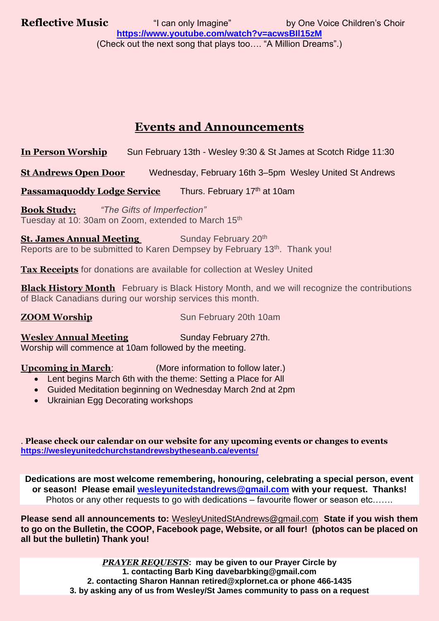**Reflective Music** "I can only Imagine" by One Voice Children's Choir **<https://www.youtube.com/watch?v=acwsBIl15zM>** (Check out the next song that plays too…. "A Million Dreams".)

## **Events and Announcements**

**In Person Worship** Sun February 13th - Wesley 9:30 & St James at Scotch Ridge 11:30

**St Andrews Open Door** Wednesday, February 16th 3–5pm Wesley United St Andrews

**Passamaquoddy Lodge Service** Thurs. February 17<sup>th</sup> at 10am

**Book Study:** *"The Gifts of Imperfection"* Tuesday at 10: 30am on Zoom, extended to March 15<sup>th</sup>

**St. James Annual Meeting** Sunday February 20<sup>th</sup> Reports are to be submitted to Karen Dempsey by February 13<sup>th</sup>. Thank you!

**Tax Receipts** for donations are available for collection at Wesley United

**Black History Month** February is Black History Month, and we will recognize the contributions of Black Canadians during our worship services this month.

**ZOOM Worship** Sun February 20th 10am

**Wesley Annual Meeting Sunday February 27th.** Worship will commence at 10am followed by the meeting.

**Upcoming in March**: (More information to follow later.)

- Lent begins March 6th with the theme: Setting a Place for All
- Guided Meditation beginning on Wednesday March 2nd at 2pm
- Ukrainian Egg Decorating workshops

. **Please check our calendar on our website for any upcoming events or changes to events <https://wesleyunitedchurchstandrewsbytheseanb.ca/events/>**

**Dedications are most welcome remembering, honouring, celebrating a special person, event or season! Please email [wesleyunitedstandrews@gmail.com](mailto:wesleyunitedstandrews@gmail.com) with your request. Thanks!** Photos or any other requests to go with dedications – favourite flower or season etc…….

**Please send all announcements to:** [WesleyUnitedStAndrews@gmail.com](mailto:WesleyUnitedStAndrews@gmail.com) **State if you wish them to go on the Bulletin, the COOP, Facebook page, Website, or all four! (photos can be placed on all but the bulletin) Thank you!**

> *PRAYER REQUESTS***: may be given to our Prayer Circle by 1. contacting Barb King [davebarbking@gmail.com](mailto:davebarbking@gmail.com) 2. contacting Sharon Hannan [retired@xplornet.ca](mailto:retired@xplornet.ca) or phone 466-1435 3. by asking any of us from Wesley/St James community to pass on a request**